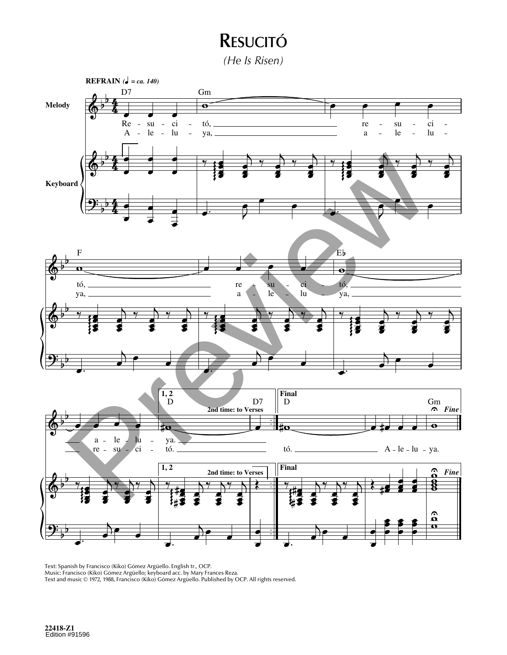## **RESUCITÓ**

*(He Is Risen)*



Text: Spanish by Francisco (Kiko) Gómez Argüello. English tr., OCP.

Music: Francisco (Kiko) Gómez Argüello; keyboard acc. by Mary Frances Reza.

Text and music © 1972, 1988, Francisco (Kiko) Gómez Argüello. Published by OCP. All rights reserved.